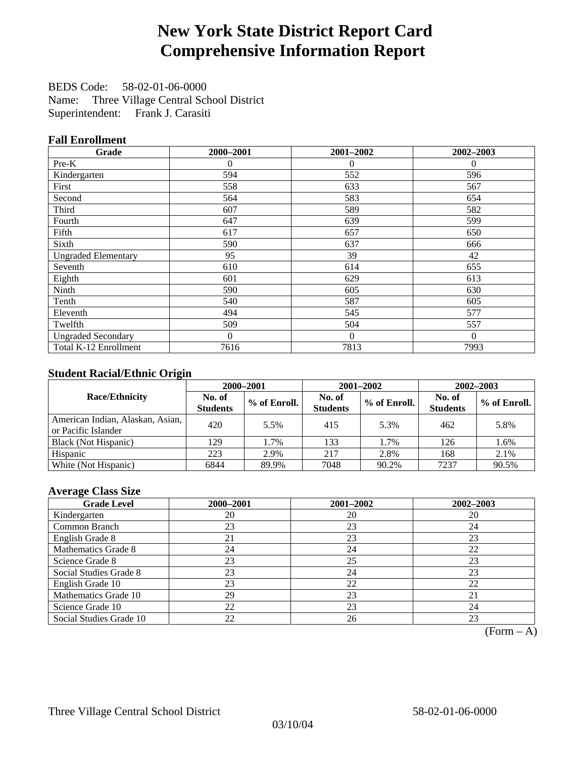# **New York State District Report Card Comprehensive Information Report**

BEDS Code: 58-02-01-06-0000 Name: Three Village Central School District Superintendent: Frank J. Carasiti

### **Fall Enrollment**

| Grade                      | 2000-2001      | 2001-2002 | 2002-2003 |
|----------------------------|----------------|-----------|-----------|
| Pre-K                      | $\overline{0}$ | $\theta$  | $\theta$  |
| Kindergarten               | 594            | 552       | 596       |
| First                      | 558            | 633       | 567       |
| Second                     | 564            | 583       | 654       |
| Third                      | 607            | 589       | 582       |
| Fourth                     | 647            | 639       | 599       |
| Fifth                      | 617            | 657       | 650       |
| Sixth                      | 590            | 637       | 666       |
| <b>Ungraded Elementary</b> | 95             | 39        | 42        |
| Seventh                    | 610            | 614       | 655       |
| Eighth                     | 601            | 629       | 613       |
| Ninth                      | 590            | 605       | 630       |
| Tenth                      | 540            | 587       | 605       |
| Eleventh                   | 494            | 545       | 577       |
| Twelfth                    | 509            | 504       | 557       |
| <b>Ungraded Secondary</b>  | $\Omega$       | $\theta$  | $\Omega$  |
| Total K-12 Enrollment      | 7616           | 7813      | 7993      |

### **Student Racial/Ethnic Origin**

|                                                         |                           | 2000-2001    | 2001-2002                 |              | $2002 - 2003$             |                |
|---------------------------------------------------------|---------------------------|--------------|---------------------------|--------------|---------------------------|----------------|
| <b>Race/Ethnicity</b>                                   | No. of<br><b>Students</b> | % of Enroll. | No. of<br><b>Students</b> | % of Enroll. | No. of<br><b>Students</b> | $%$ of Enroll. |
| American Indian, Alaskan, Asian,<br>or Pacific Islander | 420                       | 5.5%         | 415                       | 5.3%         | 462                       | 5.8%           |
| Black (Not Hispanic)                                    | 129                       | 1.7%         | 133                       | 1.7%         | 126                       | 1.6%           |
| Hispanic                                                | 223                       | 2.9%         | 217                       | 2.8%         | 168                       | 2.1%           |
| White (Not Hispanic)                                    | 6844                      | 89.9%        | 7048                      | 90.2%        | 7237                      | 90.5%          |

#### **Average Class Size**

| <b>Grade Level</b>      | 2000-2001 | 2001-2002 | $2002 - 2003$ |
|-------------------------|-----------|-----------|---------------|
| Kindergarten            | 20        | 20        | 20            |
| Common Branch           | 23        | 23        | 24            |
| English Grade 8         | 21        | 23        | 23            |
| Mathematics Grade 8     | 24        | 24        | 22            |
| Science Grade 8         | 23        | 25        | 23            |
| Social Studies Grade 8  | 23        | 24        | 23            |
| English Grade 10        | 23        | 22        | 22            |
| Mathematics Grade 10    | 29        | 23        | 21            |
| Science Grade 10        | 22        | 23        | 24            |
| Social Studies Grade 10 | 22        | 26        | 23            |

 $(Form - A)$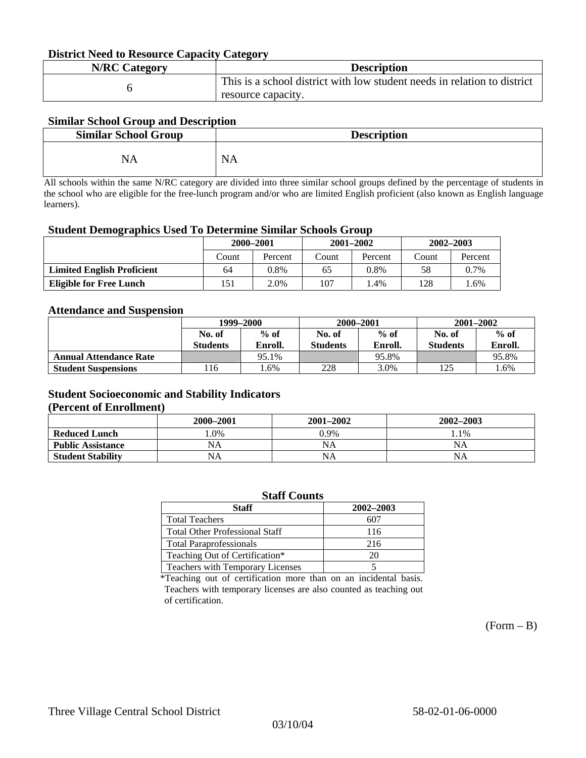#### **District Need to Resource Capacity Category**

| <b>N/RC Category</b> | <b>Description</b>                                                       |
|----------------------|--------------------------------------------------------------------------|
|                      | This is a school district with low student needs in relation to district |
|                      | resource capacity.                                                       |

### **Similar School Group and Description**

| <b>Similar School Group</b> | <b>Description</b> |
|-----------------------------|--------------------|
| NA                          | <b>NA</b>          |

All schools within the same N/RC category are divided into three similar school groups defined by the percentage of students in the school who are eligible for the free-lunch program and/or who are limited English proficient (also known as English language learners).

#### **Student Demographics Used To Determine Similar Schools Group**

| 0                                 |           |         |       |               |               |         |
|-----------------------------------|-----------|---------|-------|---------------|---------------|---------|
|                                   | 2000-2001 |         |       | $2001 - 2002$ | $2002 - 2003$ |         |
|                                   | Count     | Percent | Count | Percent       | Count         | Percent |
| <b>Limited English Proficient</b> | 64        | 0.8%    | 65    | 0.8%          | 58            | 0.7%    |
| Eligible for Free Lunch           | 151       | 2.0%    | 107   | $1.4\%$       | 128           | .6%     |

#### **Attendance and Suspension**

|                               | 1999–2000       |         |                 | 2000-2001 | $2001 - 2002$   |         |
|-------------------------------|-----------------|---------|-----------------|-----------|-----------------|---------|
|                               | No. of          | $%$ of  | No. of          | $%$ of    | No. of          | $\%$ of |
|                               | <b>Students</b> | Enroll. | <b>Students</b> | Enroll.   | <b>Students</b> | Enroll. |
| <b>Annual Attendance Rate</b> |                 | 95.1%   |                 | 95.8%     |                 | 95.8%   |
| <b>Student Suspensions</b>    | 116             | .6%     | 228             | 3.0%      | 1つく             | 1.6%    |

### **Student Socioeconomic and Stability Indicators**

#### **(Percent of Enrollment)**

|                          | 2000-2001 | $2001 - 2002$ | 2002-2003 |
|--------------------------|-----------|---------------|-----------|
| <b>Reduced Lunch</b>     | .0%       | 0.9%          | $.1\%$    |
| <b>Public Assistance</b> | NA        | NA            | NA        |
| <b>Student Stability</b> | NA        | <b>NA</b>     | NA        |

| <b>Staff Counts</b>                   |           |  |  |  |  |
|---------------------------------------|-----------|--|--|--|--|
| <b>Staff</b>                          | 2002-2003 |  |  |  |  |
| <b>Total Teachers</b>                 | 607       |  |  |  |  |
| <b>Total Other Professional Staff</b> | 116       |  |  |  |  |
| <b>Total Paraprofessionals</b>        | 216       |  |  |  |  |
| Teaching Out of Certification*        | 20        |  |  |  |  |
| Teachers with Temporary Licenses      |           |  |  |  |  |

\*Teaching out of certification more than on an incidental basis. Teachers with temporary licenses are also counted as teaching out of certification.

 $(Form - B)$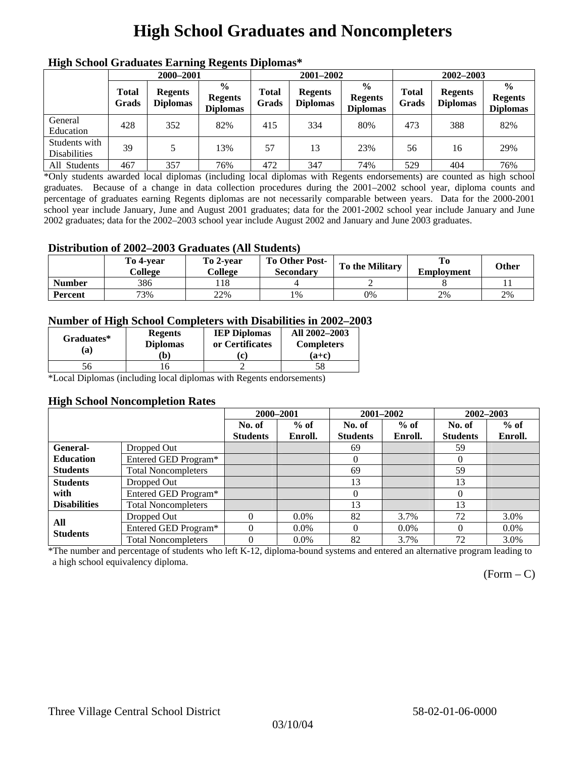# **High School Graduates and Noncompleters**

| ніді эспол этайнакі патінід кеденія вірюшая |                       |                                   |                                                    |                       |                                   |                                                    |                       |                                   |                                                    |  |
|---------------------------------------------|-----------------------|-----------------------------------|----------------------------------------------------|-----------------------|-----------------------------------|----------------------------------------------------|-----------------------|-----------------------------------|----------------------------------------------------|--|
|                                             | 2000-2001             |                                   |                                                    |                       | 2001-2002                         |                                                    |                       | 2002-2003                         |                                                    |  |
|                                             | <b>Total</b><br>Grads | <b>Regents</b><br><b>Diplomas</b> | $\frac{6}{9}$<br><b>Regents</b><br><b>Diplomas</b> | <b>Total</b><br>Grads | <b>Regents</b><br><b>Diplomas</b> | $\frac{6}{6}$<br><b>Regents</b><br><b>Diplomas</b> | <b>Total</b><br>Grads | <b>Regents</b><br><b>Diplomas</b> | $\frac{0}{0}$<br><b>Regents</b><br><b>Diplomas</b> |  |
| General<br>Education                        | 428                   | 352                               | 82%                                                | 415                   | 334                               | 80%                                                | 473                   | 388                               | 82%                                                |  |
| Students with<br><b>Disabilities</b>        | 39                    |                                   | 13%                                                | 57                    | 13                                | 23%                                                | 56                    | 16                                | 29%                                                |  |
| All Students                                | 467                   | 357                               | 76%                                                | 472                   | 347                               | 74%                                                | 529                   | 404                               | 76%                                                |  |

### **High School Graduates Earning Regents Diplomas\***

\*Only students awarded local diplomas (including local diplomas with Regents endorsements) are counted as high school graduates. Because of a change in data collection procedures during the 2001–2002 school year, diploma counts and percentage of graduates earning Regents diplomas are not necessarily comparable between years. Data for the 2000-2001 school year include January, June and August 2001 graduates; data for the 2001-2002 school year include January and June 2002 graduates; data for the 2002–2003 school year include August 2002 and January and June 2003 graduates.

### **Distribution of 2002–2003 Graduates (All Students)**

|               | To 4-vear<br>College | To 2-vear<br>College | <b>To Other Post-</b><br>Secondary | <b>To the Military</b> | To<br><b>Employment</b> | <b>Other</b> |
|---------------|----------------------|----------------------|------------------------------------|------------------------|-------------------------|--------------|
| <b>Number</b> | 386                  | 18                   |                                    |                        |                         |              |
| Percent       | 73%                  | 22%                  | 1%                                 | 0%                     | 2%                      | 2%           |

### **Number of High School Completers with Disabilities in 2002–2003**

| Graduates*<br>'a) | <b>Regents</b><br><b>Diplomas</b><br>b) | <b>IEP Diplomas</b><br>or Certificates | All 2002-2003<br><b>Completers</b><br>(a+c) |
|-------------------|-----------------------------------------|----------------------------------------|---------------------------------------------|
| 56                |                                         |                                        | 58                                          |

\*Local Diplomas (including local diplomas with Regents endorsements)

#### **High School Noncompletion Rates**

|                     |                            | 2000-2001       |         | 2001-2002       |         | 2002-2003       |         |
|---------------------|----------------------------|-----------------|---------|-----------------|---------|-----------------|---------|
|                     |                            | No. of          | $%$ of  | No. of          | $%$ of  | No. of          | $%$ of  |
|                     |                            | <b>Students</b> | Enroll. | <b>Students</b> | Enroll. | <b>Students</b> | Enroll. |
| General-            | Dropped Out                |                 |         | 69              |         | 59              |         |
| <b>Education</b>    | Entered GED Program*       |                 |         | $\Omega$        |         | $\theta$        |         |
| <b>Students</b>     | <b>Total Noncompleters</b> |                 |         | 69              |         | 59              |         |
| <b>Students</b>     | Dropped Out                |                 |         | 13              |         | 13              |         |
| with                | Entered GED Program*       |                 |         | $\theta$        |         | $\Omega$        |         |
| <b>Disabilities</b> | <b>Total Noncompleters</b> |                 |         | 13              |         | 13              |         |
| All                 | Dropped Out                | 0               | $0.0\%$ | 82              | 3.7%    | 72              | 3.0%    |
| <b>Students</b>     | Entered GED Program*       | $\Omega$        | $0.0\%$ | 0               | $0.0\%$ | $\theta$        | $0.0\%$ |
|                     | <b>Total Noncompleters</b> | $\Omega$        | $0.0\%$ | 82              | 3.7%    | 72              | 3.0%    |

\*The number and percentage of students who left K-12, diploma-bound systems and entered an alternative program leading to a high school equivalency diploma.

 $(Form - C)$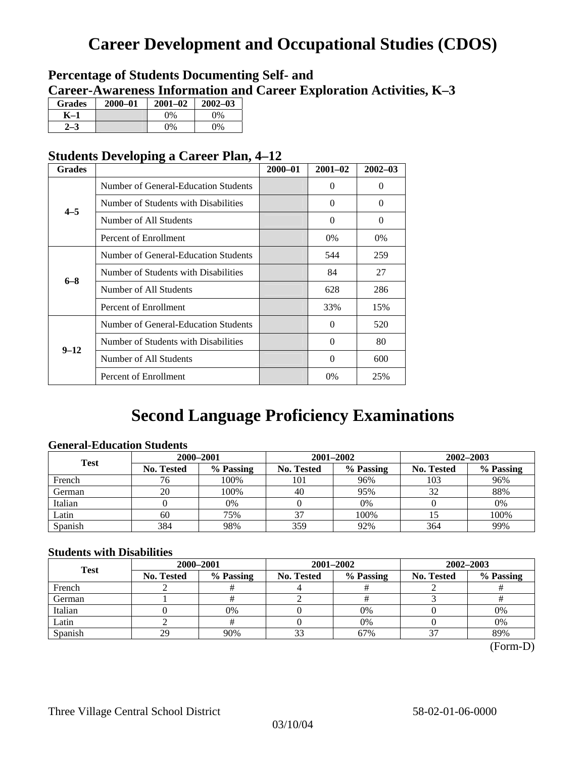## **Career Development and Occupational Studies (CDOS)**

### **Percentage of Students Documenting Self- and Career-Awareness Information and Career Exploration Activities, K–3**

| <b>Grades</b> | $2000 - 01$ | $2001 - 02$ | $2002 - 03$ |
|---------------|-------------|-------------|-------------|
| K–1           |             | $0\%$       | $0\%$       |
|               |             | $0\%$       | 9%          |

### **Students Developing a Career Plan, 4–12**

| <b>Grades</b> |                                      | $2000 - 01$ | $2001 - 02$ | $2002 - 03$ |
|---------------|--------------------------------------|-------------|-------------|-------------|
|               | Number of General-Education Students |             | $\theta$    | $\theta$    |
| $4 - 5$       | Number of Students with Disabilities |             | 0           | $\Omega$    |
|               | Number of All Students               |             | $\theta$    | $\Omega$    |
|               | Percent of Enrollment                |             | $0\%$       | 0%          |
|               | Number of General-Education Students |             | 544         | 259         |
| $6 - 8$       | Number of Students with Disabilities |             | 84          | 27          |
|               | Number of All Students               |             | 628         | 286         |
|               | Percent of Enrollment                |             | 33%         | 15%         |
|               | Number of General-Education Students |             | 0           | 520         |
| $9 - 12$      | Number of Students with Disabilities |             | $\theta$    | 80          |
|               | Number of All Students               |             | 0           | 600         |
|               | Percent of Enrollment                |             | $0\%$       | 25%         |

## **Second Language Proficiency Examinations**

### **General-Education Students**

| <b>Test</b> | 2000-2001         |           |                   | 2001-2002 | 2002-2003         |           |  |
|-------------|-------------------|-----------|-------------------|-----------|-------------------|-----------|--|
|             | <b>No. Tested</b> | % Passing | <b>No. Tested</b> | % Passing | <b>No. Tested</b> | % Passing |  |
| French      | 76                | 100%      | 101               | 96%       | 103               | 96%       |  |
| German      | 20                | 100%      | 40                | 95%       | 32                | 88%       |  |
| Italian     |                   | 0%        |                   | 0%        |                   | 0%        |  |
| Latin       | 60                | 75%       | 37                | 100%      |                   | 100%      |  |
| Spanish     | 384               | 98%       | 359               | 92%       | 364               | 99%       |  |

### **Students with Disabilities**

| <b>Test</b> | 2000-2001         |           |                         | 2001-2002 | 2002-2003         |           |  |
|-------------|-------------------|-----------|-------------------------|-----------|-------------------|-----------|--|
|             | <b>No. Tested</b> | % Passing | % Passing<br>No. Tested |           | <b>No. Tested</b> | % Passing |  |
| French      |                   |           |                         |           |                   |           |  |
| German      |                   |           |                         |           |                   |           |  |
| Italian     |                   | 0%        |                         | 0%        |                   | 0%        |  |
| Latin       |                   |           |                         | 0%        |                   | 0%        |  |
| Spanish     | 29                | 90%       | 33                      | 67%       |                   | 89%       |  |

(Form-D)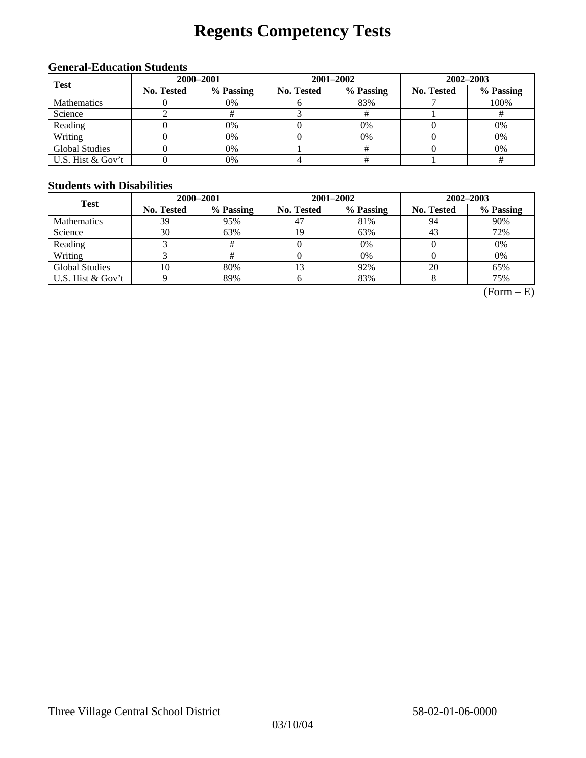# **Regents Competency Tests**

### **General-Education Students**

| <b>Test</b>           | 2000-2001  |           |            | 2001-2002 | $2002 - 2003$ |           |  |
|-----------------------|------------|-----------|------------|-----------|---------------|-----------|--|
|                       | No. Tested | % Passing | No. Tested | % Passing | No. Tested    | % Passing |  |
| <b>Mathematics</b>    |            | 0%        |            | 83%       |               | 100%      |  |
| Science               |            |           |            |           |               |           |  |
| Reading               |            | 0%        |            | 0%        |               | 0%        |  |
| Writing               |            | 0%        |            | 0%        |               | 0%        |  |
| <b>Global Studies</b> |            | 0%        |            |           |               | 0%        |  |
| U.S. Hist & Gov't     |            | 0%        |            |           |               |           |  |

#### **Students with Disabilities**

| <b>Test</b>           | 2000-2001         |           |            | 2001-2002 | 2002-2003         |           |  |
|-----------------------|-------------------|-----------|------------|-----------|-------------------|-----------|--|
|                       | <b>No. Tested</b> | % Passing | No. Tested | % Passing | <b>No. Tested</b> | % Passing |  |
| <b>Mathematics</b>    | 39                | 95%       | 47         | 81%       | 94                | 90%       |  |
| Science               | 30                | 63%       | 19         | 63%       | 43                | 72%       |  |
| Reading               |                   |           |            | 0%        |                   | 0%        |  |
| Writing               |                   |           |            | 0%        |                   | 0%        |  |
| <b>Global Studies</b> | 10                | 80%       |            | 92%       | 20                | 65%       |  |
| U.S. Hist & Gov't     |                   | 89%       |            | 83%       |                   | 75%       |  |

 $(Form - E)$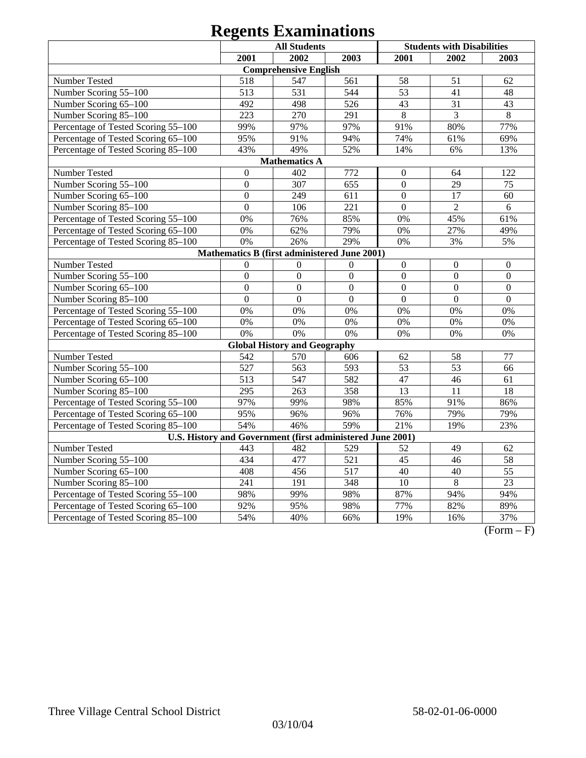|                                                            | <b>All Students</b> |                                              |                  |                  | <b>Students with Disabilities</b> |                  |
|------------------------------------------------------------|---------------------|----------------------------------------------|------------------|------------------|-----------------------------------|------------------|
|                                                            | 2001                | 2002                                         | 2003             | 2001             | 2002                              | 2003             |
|                                                            |                     | <b>Comprehensive English</b>                 |                  |                  |                                   |                  |
| Number Tested                                              | 518                 | 547                                          | 561              | 58               | 51                                | 62               |
| Number Scoring 55-100                                      | 513                 | 531                                          | 544              | 53               | 41                                | 48               |
| Number Scoring 65-100                                      | 492                 | 498                                          | 526              | 43               | 31                                | 43               |
| Number Scoring 85-100                                      | 223                 | 270                                          | 291              | $\,8\,$          | $\overline{3}$                    | $\overline{8}$   |
| Percentage of Tested Scoring 55-100                        | 99%                 | 97%                                          | 97%              | 91%              | 80%                               | 77%              |
| Percentage of Tested Scoring 65-100                        | 95%                 | 91%                                          | 94%              | 74%              | 61%                               | 69%              |
| Percentage of Tested Scoring 85-100                        | 43%                 | 49%                                          | 52%              | 14%              | 6%                                | 13%              |
|                                                            |                     | <b>Mathematics A</b>                         |                  |                  |                                   |                  |
| Number Tested                                              | $\boldsymbol{0}$    | 402                                          | 772              | $\boldsymbol{0}$ | 64                                | 122              |
| Number Scoring 55-100                                      | $\mathbf{0}$        | 307                                          | 655              | $\mathbf{0}$     | 29                                | 75               |
| Number Scoring 65-100                                      | $\overline{0}$      | 249                                          | 611              | $\mathbf{0}$     | 17                                | 60               |
| Number Scoring 85-100                                      | $\boldsymbol{0}$    | 106                                          | 221              | $\boldsymbol{0}$ | $\overline{2}$                    | 6                |
| Percentage of Tested Scoring 55-100                        | 0%                  | 76%                                          | 85%              | 0%               | 45%                               | 61%              |
| Percentage of Tested Scoring 65-100                        | 0%                  | 62%                                          | 79%              | 0%               | 27%                               | 49%              |
| Percentage of Tested Scoring 85-100                        | 0%                  | 26%                                          | 29%              | 0%               | 3%                                | 5%               |
|                                                            |                     | Mathematics B (first administered June 2001) |                  |                  |                                   |                  |
| Number Tested                                              | $\Omega$            | $\Omega$                                     | $\Omega$         | $\boldsymbol{0}$ | $\boldsymbol{0}$                  | $\boldsymbol{0}$ |
| Number Scoring 55-100                                      | $\overline{0}$      | $\overline{0}$                               | $\overline{0}$   | $\overline{0}$   | $\overline{0}$                    | $\overline{0}$   |
| Number Scoring 65-100                                      | $\overline{0}$      | $\overline{0}$                               | $\overline{0}$   | $\mathbf{0}$     | $\overline{0}$                    | $\mathbf{0}$     |
| Number Scoring 85-100                                      | $\overline{0}$      | $\overline{0}$                               | $\overline{0}$   | $\mathbf{0}$     | $\overline{0}$                    | $\overline{0}$   |
| Percentage of Tested Scoring 55-100                        | 0%                  | 0%                                           | 0%               | 0%               | 0%                                | 0%               |
| Percentage of Tested Scoring 65-100                        | 0%                  | 0%                                           | 0%               | 0%               | 0%                                | 0%               |
| Percentage of Tested Scoring 85-100                        | 0%                  | 0%                                           | 0%               | 0%               | 0%                                | 0%               |
|                                                            |                     | <b>Global History and Geography</b>          |                  |                  |                                   |                  |
| Number Tested                                              | 542                 | 570                                          | 606              | 62               | 58                                | 77               |
| Number Scoring 55-100                                      | 527                 | 563                                          | 593              | 53               | 53                                | 66               |
| Number Scoring 65-100                                      | 513                 | 547                                          | 582              | 47               | 46                                | 61               |
| Number Scoring 85-100                                      | 295                 | 263                                          | 358              | 13               | 11                                | 18               |
| Percentage of Tested Scoring 55-100                        | 97%                 | 99%                                          | 98%              | 85%              | 91%                               | 86%              |
| Percentage of Tested Scoring 65-100                        | 95%                 | 96%                                          | 96%              | 76%              | 79%                               | 79%              |
| Percentage of Tested Scoring 85-100                        | 54%                 | 46%                                          | 59%              | 21%              | 19%                               | 23%              |
| U.S. History and Government (first administered June 2001) |                     |                                              |                  |                  |                                   |                  |
| Number Tested                                              | 443                 | 482                                          | 529              | 52               | 49                                | 62               |
| Number Scoring 55-100                                      | 434                 | 477                                          | 521              | $\overline{45}$  | 46                                | 58               |
| Number Scoring 65-100                                      | 408                 | 456                                          | $\overline{517}$ | 40               | 40                                | $\overline{55}$  |
| Number Scoring 85-100                                      | 241                 | 191                                          | 348              | 10               | $\overline{8}$                    | $\overline{23}$  |
| Percentage of Tested Scoring 55-100                        | 98%                 | 99%                                          | 98%              | 87%              | 94%                               | 94%              |
| Percentage of Tested Scoring 65-100                        | 92%                 | 95%                                          | 98%              | 77%              | 82%                               | 89%              |
| Percentage of Tested Scoring 85-100                        | 54%                 | 40%                                          | 66%              | 19%              | 16%                               | 37%              |

 $(Form - F)$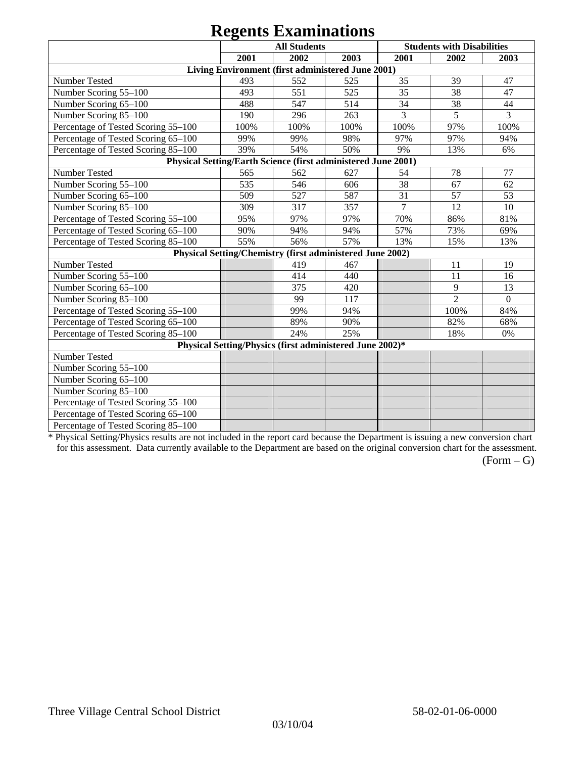|                                                               |      | $\mathbf{v}_\mathbf{B}$ $\mathbf{v}_\mathbf{A}$ is a sequence of<br><b>All Students</b> |      |                 | <b>Students with Disabilities</b> |                |
|---------------------------------------------------------------|------|-----------------------------------------------------------------------------------------|------|-----------------|-----------------------------------|----------------|
|                                                               | 2001 | 2002                                                                                    | 2003 | 2001            | 2002                              | 2003           |
|                                                               |      | Living Environment (first administered June 2001)                                       |      |                 |                                   |                |
| Number Tested                                                 | 493  | 552                                                                                     | 525  | 35              | 39                                | 47             |
| Number Scoring 55-100                                         | 493  | 551                                                                                     | 525  | 35              | 38                                | 47             |
| Number Scoring 65-100                                         | 488  | 547                                                                                     | 514  | 34              | 38                                | 44             |
| Number Scoring 85-100                                         | 190  | 296                                                                                     | 263  | 3               | 5                                 | 3              |
| Percentage of Tested Scoring 55-100                           | 100% | 100%                                                                                    | 100% | 100%            | 97%                               | 100%           |
| Percentage of Tested Scoring 65-100                           | 99%  | 99%                                                                                     | 98%  | 97%             | 97%                               | 94%            |
| Percentage of Tested Scoring 85-100                           | 39%  | 54%                                                                                     | 50%  | 9%              | 13%                               | 6%             |
| Physical Setting/Earth Science (first administered June 2001) |      |                                                                                         |      |                 |                                   |                |
| Number Tested                                                 | 565  | 562                                                                                     | 627  | 54              | 78                                | 77             |
| Number Scoring 55-100                                         | 535  | 546                                                                                     | 606  | 38              | 67                                | 62             |
| Number Scoring 65-100                                         | 509  | 527                                                                                     | 587  | $\overline{31}$ | 57                                | 53             |
| Number Scoring 85-100                                         | 309  | 317                                                                                     | 357  | 7               | 12                                | 10             |
| Percentage of Tested Scoring 55-100                           | 95%  | 97%                                                                                     | 97%  | 70%             | 86%                               | 81%            |
| Percentage of Tested Scoring 65-100                           | 90%  | 94%                                                                                     | 94%  | 57%             | 73%                               | 69%            |
| Percentage of Tested Scoring 85-100                           | 55%  | 56%                                                                                     | 57%  | 13%             | 15%                               | 13%            |
|                                                               |      | Physical Setting/Chemistry (first administered June 2002)                               |      |                 |                                   |                |
| Number Tested                                                 |      | 419                                                                                     | 467  |                 | 11                                | 19             |
| Number Scoring 55-100                                         |      | 414                                                                                     | 440  |                 | 11                                | 16             |
| Number Scoring 65-100                                         |      | 375                                                                                     | 420  |                 | 9                                 | 13             |
| Number Scoring 85-100                                         |      | 99                                                                                      | 117  |                 | $\overline{2}$                    | $\overline{0}$ |
| Percentage of Tested Scoring 55-100                           |      | 99%                                                                                     | 94%  |                 | 100%                              | 84%            |
| Percentage of Tested Scoring 65-100                           |      | 89%                                                                                     | 90%  |                 | 82%                               | 68%            |
| Percentage of Tested Scoring 85-100                           |      | 24%                                                                                     | 25%  |                 | 18%                               | 0%             |
|                                                               |      | Physical Setting/Physics (first administered June 2002)*                                |      |                 |                                   |                |
| Number Tested                                                 |      |                                                                                         |      |                 |                                   |                |
| Number Scoring 55-100                                         |      |                                                                                         |      |                 |                                   |                |
| Number Scoring 65-100                                         |      |                                                                                         |      |                 |                                   |                |
| Number Scoring 85-100                                         |      |                                                                                         |      |                 |                                   |                |
| Percentage of Tested Scoring 55-100                           |      |                                                                                         |      |                 |                                   |                |
| Percentage of Tested Scoring 65-100                           |      |                                                                                         |      |                 |                                   |                |
| Percentage of Tested Scoring 85-100                           |      |                                                                                         |      |                 |                                   |                |

\* Physical Setting/Physics results are not included in the report card because the Department is issuing a new conversion chart for this assessment. Data currently available to the Department are based on the original conversion chart for the assessment.

 $(Form - G)$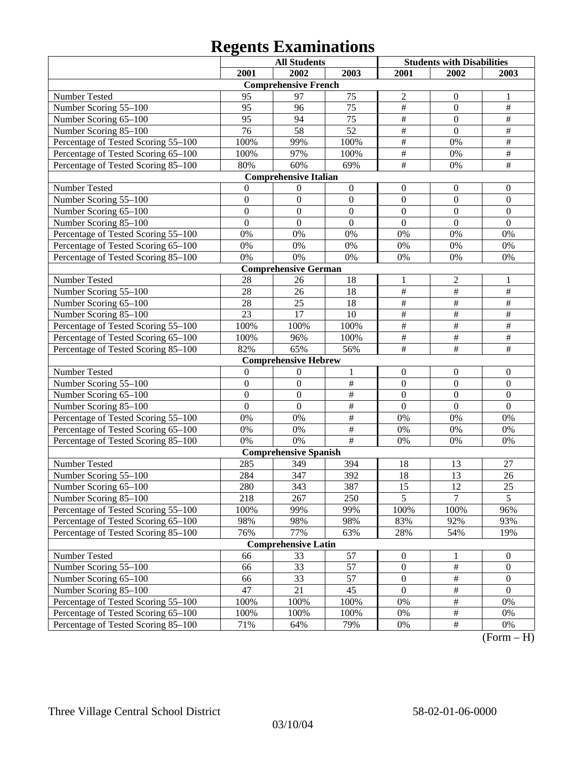|                                     |                  | <b>All Students</b>          |                  | <b>Students with Disabilities</b> |                  |                  |
|-------------------------------------|------------------|------------------------------|------------------|-----------------------------------|------------------|------------------|
|                                     | 2001             | 2002                         | 2003             | 2001                              | 2002             | 2003             |
|                                     |                  | <b>Comprehensive French</b>  |                  |                                   |                  |                  |
| Number Tested                       | 95               | 97                           | 75               | $\mathfrak{2}$                    | $\mathbf{0}$     | 1                |
| Number Scoring 55-100               | 95               | 96                           | 75               | $\overline{\#}$                   | $\mathbf{0}$     | $\overline{\#}$  |
| Number Scoring 65-100               | 95               | 94                           | 75               | $\overline{\#}$                   | $\overline{0}$   | $\#$             |
| Number Scoring 85-100               | 76               | 58                           | 52               | $\overline{\#}$                   | $\overline{0}$   | $\#$             |
| Percentage of Tested Scoring 55-100 | 100%             | 99%                          | 100%             | $\overline{\#}$                   | 0%               | $\#$             |
| Percentage of Tested Scoring 65-100 | 100%             | 97%                          | 100%             | $\overline{\#}$                   | 0%               | $\#$             |
| Percentage of Tested Scoring 85-100 | 80%              | 60%                          | 69%              | $\overline{\#}$                   | 0%               | $\overline{\#}$  |
|                                     |                  | <b>Comprehensive Italian</b> |                  |                                   |                  |                  |
| Number Tested                       | 0                | $\theta$                     | $\boldsymbol{0}$ | $\boldsymbol{0}$                  | $\boldsymbol{0}$ | $\boldsymbol{0}$ |
| Number Scoring 55-100               | $\mathbf{0}$     | $\boldsymbol{0}$             | $\boldsymbol{0}$ | $\overline{0}$                    | $\mathbf{0}$     | $\mathbf{0}$     |
| Number Scoring 65-100               | $\overline{0}$   | $\boldsymbol{0}$             | $\overline{0}$   | $\overline{0}$                    | $\overline{0}$   | $\mathbf{0}$     |
| Number Scoring 85-100               | $\mathbf{0}$     | $\mathbf{0}$                 | $\overline{0}$   | $\mathbf{0}$                      | $\mathbf{0}$     | $\mathbf{0}$     |
| Percentage of Tested Scoring 55-100 | 0%               | 0%                           | 0%               | 0%                                | 0%               | 0%               |
| Percentage of Tested Scoring 65-100 | 0%               | 0%                           | 0%               | 0%                                | 0%               | 0%               |
| Percentage of Tested Scoring 85-100 | 0%               | 0%                           | 0%               | 0%                                | 0%               | 0%               |
|                                     |                  | <b>Comprehensive German</b>  |                  |                                   |                  |                  |
| Number Tested                       | 28               | 26                           | 18               | $\mathbf{1}$                      | $\overline{2}$   | 1                |
| Number Scoring 55-100               | 28               | 26                           | 18               | $\frac{1}{2}$                     | $\overline{\#}$  | $\#$             |
| Number Scoring 65-100               | 28               | 25                           | 18               | $\overline{\#}$                   | $\overline{\#}$  | $\#$             |
| Number Scoring 85-100               | 23               | 17                           | 10               | $\overline{\#}$                   | $\overline{\#}$  | $\#$             |
| Percentage of Tested Scoring 55-100 | 100%             | 100%                         | 100%             | $\frac{1}{2}$                     | $\overline{\#}$  | $\#$             |
| Percentage of Tested Scoring 65-100 | 100%             | 96%                          | 100%             | $\overline{\#}$                   | $\overline{\#}$  | $\#$             |
| Percentage of Tested Scoring 85-100 | 82%              | 65%                          | 56%              | $\overline{\#}$                   | $\overline{\#}$  | $\overline{\#}$  |
|                                     |                  | <b>Comprehensive Hebrew</b>  |                  |                                   |                  |                  |
| Number Tested                       | $\overline{0}$   | $\theta$                     | 1                | $\boldsymbol{0}$                  | $\boldsymbol{0}$ | $\boldsymbol{0}$ |
| Number Scoring 55-100               | $\boldsymbol{0}$ | $\boldsymbol{0}$             | $\#$             | $\boldsymbol{0}$                  | $\mathbf{0}$     | $\mathbf{0}$     |
| Number Scoring 65-100               | $\overline{0}$   | $\overline{0}$               | $\frac{1}{2}$    | $\overline{0}$                    | $\overline{0}$   | $\mathbf{0}$     |
| Number Scoring 85-100               | $\overline{0}$   | $\mathbf{0}$                 | $\overline{\#}$  | $\overline{0}$                    | $\overline{0}$   | $\mathbf{0}$     |
| Percentage of Tested Scoring 55-100 | 0%               | 0%                           | $\overline{\#}$  | 0%                                | 0%               | 0%               |
| Percentage of Tested Scoring 65-100 | 0%               | 0%                           | $\frac{1}{2}$    | 0%                                | 0%               | 0%               |
| Percentage of Tested Scoring 85-100 | 0%               | 0%                           | #                | 0%                                | 0%               | 0%               |
|                                     |                  | <b>Comprehensive Spanish</b> |                  |                                   |                  |                  |
| Number Tested                       | 285              | 349                          | 394              | 18                                | 13               | 27               |
| Number Scoring 55-100               | 284              | 347                          | 392              | 18                                | 13               | 26               |
| Number Scoring 65-100               | 280              | 343                          | 387              | 15                                | 12               | $\overline{25}$  |
| Number Scoring 85-100               | 218              | 267                          | 250              | $\overline{5}$                    | $\tau$           | $\overline{5}$   |
| Percentage of Tested Scoring 55-100 | 100%             | 99%                          | 99%              | 100%                              | 100%             | 96%              |
| Percentage of Tested Scoring 65-100 | 98%              | 98%                          | 98%              | 83%                               | 92%              | 93%              |
| Percentage of Tested Scoring 85-100 | 76%              | 77%                          | 63%              | 28%                               | 54%              | 19%              |
|                                     |                  | <b>Comprehensive Latin</b>   |                  |                                   |                  |                  |
| Number Tested                       | 66               | 33                           | 57               | $\boldsymbol{0}$                  | 1                | $\mathbf{0}$     |
| Number Scoring 55-100               | 66               | 33                           | 57               | $\boldsymbol{0}$                  | $\#$             | $\boldsymbol{0}$ |
| Number Scoring 65-100               | 66               | 33                           | 57               | $\boldsymbol{0}$                  | $\#$             | $\boldsymbol{0}$ |
| Number Scoring 85-100               | 47               | 21                           | 45               | $\boldsymbol{0}$                  | $\#$             | $\mathbf{0}$     |
| Percentage of Tested Scoring 55-100 | 100%             | 100%                         | 100%             | 0%                                | $\#$             | 0%               |
| Percentage of Tested Scoring 65-100 | 100%             | 100%                         | 100%             | 0%                                | $\#$             | $0\%$            |
| Percentage of Tested Scoring 85-100 | 71%              | 64%                          | 79%              | 0%                                | $\#$             | 0%               |

(Form – H)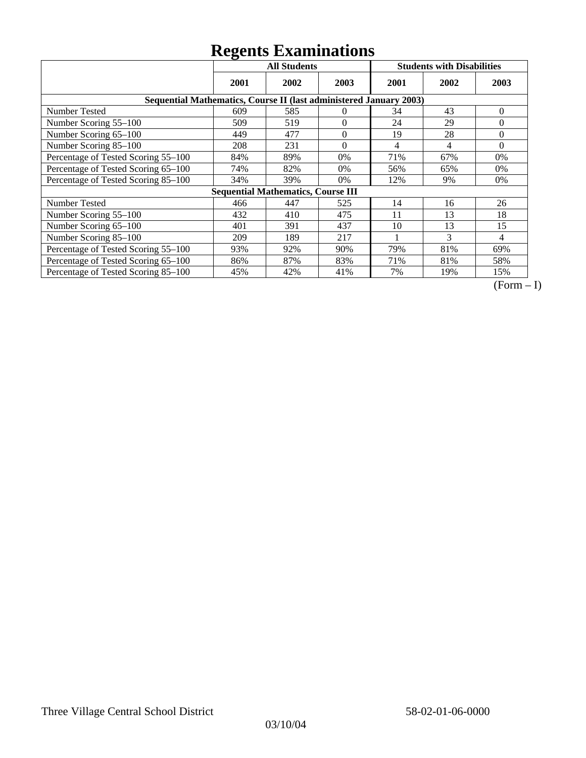|                                                                    | ັ<br><b>All Students</b> |                                           |                | <b>Students with Disabilities</b> |      |                |
|--------------------------------------------------------------------|--------------------------|-------------------------------------------|----------------|-----------------------------------|------|----------------|
|                                                                    | 2001                     | 2002                                      | 2003           | 2001                              | 2002 | 2003           |
| Sequential Mathematics, Course II (last administered January 2003) |                          |                                           |                |                                   |      |                |
| Number Tested                                                      | 609                      | 585                                       | $\Omega$       | 34                                | 43   | $\theta$       |
| Number Scoring 55-100                                              | 509                      | 519                                       | $\theta$       | 24                                | 29   | 0              |
| Number Scoring 65-100                                              | 449                      | 477                                       | $\overline{0}$ | 19                                | 28   | $\theta$       |
| Number Scoring 85-100                                              | 208                      | 231                                       | $\overline{0}$ | 4                                 | 4    | $\overline{0}$ |
| Percentage of Tested Scoring 55-100                                | 84%                      | 89%                                       | $0\%$          | 71%                               | 67%  | 0%             |
| Percentage of Tested Scoring 65-100                                | 74%                      | 82%                                       | $0\%$          | 56%                               | 65%  | 0%             |
| Percentage of Tested Scoring 85-100                                | 34%                      | 39%                                       | 0%             | 12%                               | 9%   | 0%             |
|                                                                    |                          | <b>Sequential Mathematics, Course III</b> |                |                                   |      |                |
| Number Tested                                                      | 466                      | 447                                       | 525            | 14                                | 16   | 26             |
| Number Scoring 55-100                                              | 432                      | 410                                       | 475            | 11                                | 13   | 18             |
| Number Scoring 65-100                                              | 401                      | 391                                       | 437            | 10                                | 13   | 15             |
| Number Scoring 85-100                                              | 209                      | 189                                       | 217            |                                   | 3    | 4              |
| Percentage of Tested Scoring 55-100                                | 93%                      | 92%                                       | 90%            | 79%                               | 81%  | 69%            |
| Percentage of Tested Scoring 65-100                                | 86%                      | 87%                                       | 83%            | 71%                               | 81%  | 58%            |
| Percentage of Tested Scoring 85-100                                | 45%                      | 42%                                       | 41%            | 7%                                | 19%  | 15%            |

 $\overline{(Form-I)}$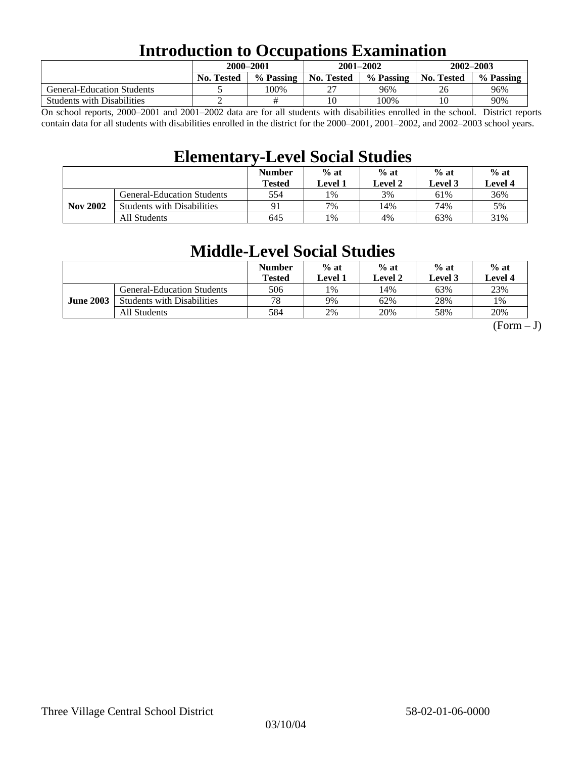### **Introduction to Occupations Examination**

|                                   | 2000-2001         |           | $2001 - 2002$ |           | $2002 - 2003$ |           |  |
|-----------------------------------|-------------------|-----------|---------------|-----------|---------------|-----------|--|
|                                   | <b>No. Tested</b> | % Passing | No. Tested    | % Passing | No. Tested    | % Passing |  |
| <b>General-Education Students</b> |                   | 100%      | רר            | 96%       | 26            | 96%       |  |
| <b>Students with Disabilities</b> |                   |           | 10            | 100%      | 10            | 90%       |  |

On school reports, 2000–2001 and 2001–2002 data are for all students with disabilities enrolled in the school. District reports contain data for all students with disabilities enrolled in the district for the 2000–2001, 2001–2002, and 2002–2003 school years.

### **Elementary-Level Social Studies**

|                 |                                   | <b>Number</b><br><b>Tested</b> | $%$ at<br>$%$ at<br>Level 2<br>Level 1 |     | $%$ at<br>Level 3 | $%$ at<br>Level 4 |
|-----------------|-----------------------------------|--------------------------------|----------------------------------------|-----|-------------------|-------------------|
| <b>Nov 2002</b> | <b>General-Education Students</b> | 554                            | 1%                                     | 3%  | 61%               | 36%               |
|                 | <b>Students with Disabilities</b> | 91                             | 7%                                     | 14% | 74%               | 5%                |
|                 | All Students                      | 645                            | !%                                     | 4%  | 63%               | 31%               |

### **Middle-Level Social Studies**

|                  |                                   | <b>Number</b><br>Tested | $%$ at<br>Level 1 | $%$ at<br>Level 2 | $%$ at<br>Level 3 | $%$ at<br>Level 4 |
|------------------|-----------------------------------|-------------------------|-------------------|-------------------|-------------------|-------------------|
| <b>June 2003</b> | <b>General-Education Students</b> | 506                     | $1\%$             | 14%               | 63%               | 23%               |
|                  | <b>Students with Disabilities</b> | 78                      | 9%                | 62%               | 28%               | 1%                |
|                  | All Students                      | 584                     | 2%                | 20%               | 58%               | 20%               |

 $(Form - J)$